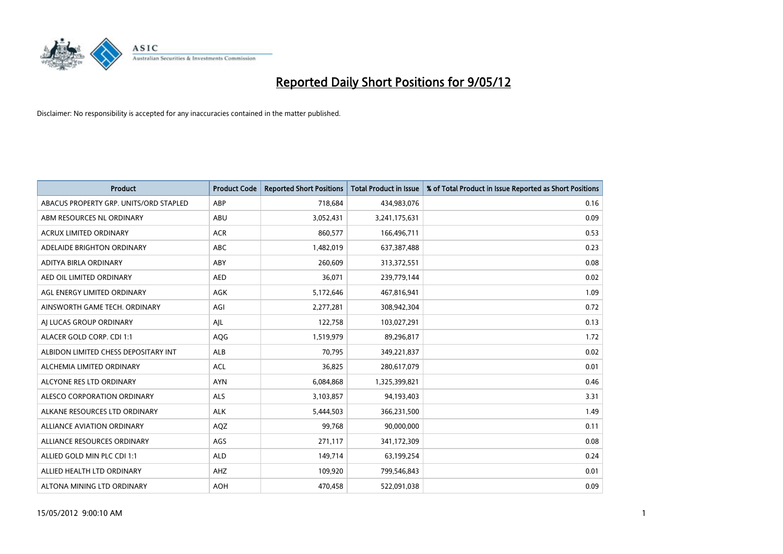

| <b>Product</b>                         | <b>Product Code</b> | <b>Reported Short Positions</b> | <b>Total Product in Issue</b> | % of Total Product in Issue Reported as Short Positions |
|----------------------------------------|---------------------|---------------------------------|-------------------------------|---------------------------------------------------------|
| ABACUS PROPERTY GRP. UNITS/ORD STAPLED | ABP                 | 718,684                         | 434,983,076                   | 0.16                                                    |
| ABM RESOURCES NL ORDINARY              | ABU                 | 3,052,431                       | 3,241,175,631                 | 0.09                                                    |
| <b>ACRUX LIMITED ORDINARY</b>          | <b>ACR</b>          | 860,577                         | 166,496,711                   | 0.53                                                    |
| ADELAIDE BRIGHTON ORDINARY             | <b>ABC</b>          | 1,482,019                       | 637,387,488                   | 0.23                                                    |
| ADITYA BIRLA ORDINARY                  | ABY                 | 260,609                         | 313,372,551                   | 0.08                                                    |
| AED OIL LIMITED ORDINARY               | <b>AED</b>          | 36,071                          | 239,779,144                   | 0.02                                                    |
| AGL ENERGY LIMITED ORDINARY            | AGK                 | 5,172,646                       | 467,816,941                   | 1.09                                                    |
| AINSWORTH GAME TECH. ORDINARY          | AGI                 | 2,277,281                       | 308,942,304                   | 0.72                                                    |
| AJ LUCAS GROUP ORDINARY                | AJL                 | 122,758                         | 103,027,291                   | 0.13                                                    |
| ALACER GOLD CORP. CDI 1:1              | AQG                 | 1,519,979                       | 89,296,817                    | 1.72                                                    |
| ALBIDON LIMITED CHESS DEPOSITARY INT   | ALB                 | 70,795                          | 349,221,837                   | 0.02                                                    |
| ALCHEMIA LIMITED ORDINARY              | <b>ACL</b>          | 36,825                          | 280,617,079                   | 0.01                                                    |
| ALCYONE RES LTD ORDINARY               | <b>AYN</b>          | 6,084,868                       | 1,325,399,821                 | 0.46                                                    |
| ALESCO CORPORATION ORDINARY            | ALS                 | 3,103,857                       | 94,193,403                    | 3.31                                                    |
| ALKANE RESOURCES LTD ORDINARY          | <b>ALK</b>          | 5,444,503                       | 366,231,500                   | 1.49                                                    |
| ALLIANCE AVIATION ORDINARY             | AQZ                 | 99,768                          | 90,000,000                    | 0.11                                                    |
| ALLIANCE RESOURCES ORDINARY            | AGS                 | 271,117                         | 341,172,309                   | 0.08                                                    |
| ALLIED GOLD MIN PLC CDI 1:1            | <b>ALD</b>          | 149,714                         | 63,199,254                    | 0.24                                                    |
| ALLIED HEALTH LTD ORDINARY             | AHZ                 | 109,920                         | 799,546,843                   | 0.01                                                    |
| ALTONA MINING LTD ORDINARY             | <b>AOH</b>          | 470,458                         | 522,091,038                   | 0.09                                                    |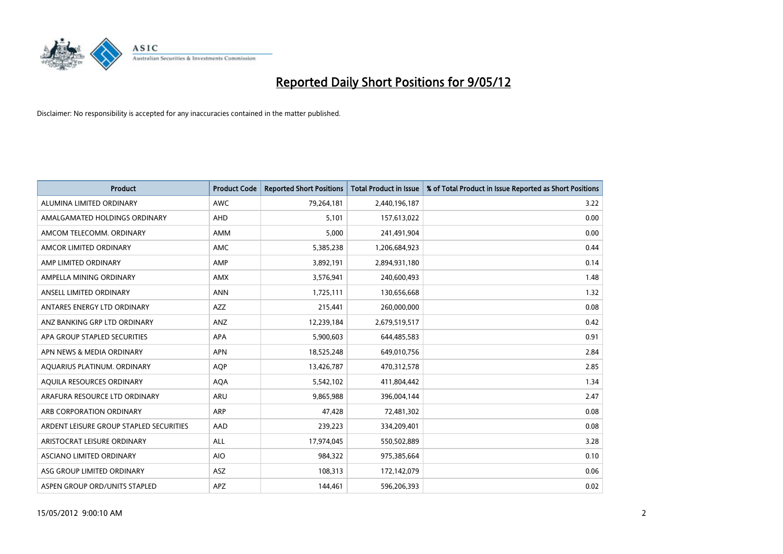

| <b>Product</b>                          | <b>Product Code</b> | <b>Reported Short Positions</b> | <b>Total Product in Issue</b> | % of Total Product in Issue Reported as Short Positions |
|-----------------------------------------|---------------------|---------------------------------|-------------------------------|---------------------------------------------------------|
| ALUMINA LIMITED ORDINARY                | <b>AWC</b>          | 79,264,181                      | 2,440,196,187                 | 3.22                                                    |
| AMALGAMATED HOLDINGS ORDINARY           | AHD                 | 5,101                           | 157,613,022                   | 0.00                                                    |
| AMCOM TELECOMM, ORDINARY                | AMM                 | 5,000                           | 241,491,904                   | 0.00                                                    |
| AMCOR LIMITED ORDINARY                  | AMC                 | 5,385,238                       | 1,206,684,923                 | 0.44                                                    |
| AMP LIMITED ORDINARY                    | AMP                 | 3,892,191                       | 2,894,931,180                 | 0.14                                                    |
| AMPELLA MINING ORDINARY                 | <b>AMX</b>          | 3,576,941                       | 240,600,493                   | 1.48                                                    |
| ANSELL LIMITED ORDINARY                 | <b>ANN</b>          | 1,725,111                       | 130,656,668                   | 1.32                                                    |
| ANTARES ENERGY LTD ORDINARY             | AZZ                 | 215,441                         | 260,000,000                   | 0.08                                                    |
| ANZ BANKING GRP LTD ORDINARY            | ANZ                 | 12,239,184                      | 2,679,519,517                 | 0.42                                                    |
| APA GROUP STAPLED SECURITIES            | <b>APA</b>          | 5,900,603                       | 644,485,583                   | 0.91                                                    |
| APN NEWS & MEDIA ORDINARY               | <b>APN</b>          | 18,525,248                      | 649,010,756                   | 2.84                                                    |
| AQUARIUS PLATINUM. ORDINARY             | AQP                 | 13,426,787                      | 470,312,578                   | 2.85                                                    |
| AQUILA RESOURCES ORDINARY               | <b>AQA</b>          | 5,542,102                       | 411,804,442                   | 1.34                                                    |
| ARAFURA RESOURCE LTD ORDINARY           | ARU                 | 9,865,988                       | 396,004,144                   | 2.47                                                    |
| ARB CORPORATION ORDINARY                | <b>ARP</b>          | 47,428                          | 72,481,302                    | 0.08                                                    |
| ARDENT LEISURE GROUP STAPLED SECURITIES | AAD                 | 239,223                         | 334,209,401                   | 0.08                                                    |
| ARISTOCRAT LEISURE ORDINARY             | ALL                 | 17,974,045                      | 550,502,889                   | 3.28                                                    |
| ASCIANO LIMITED ORDINARY                | <b>AIO</b>          | 984,322                         | 975,385,664                   | 0.10                                                    |
| ASG GROUP LIMITED ORDINARY              | ASZ                 | 108,313                         | 172,142,079                   | 0.06                                                    |
| ASPEN GROUP ORD/UNITS STAPLED           | APZ                 | 144,461                         | 596,206,393                   | 0.02                                                    |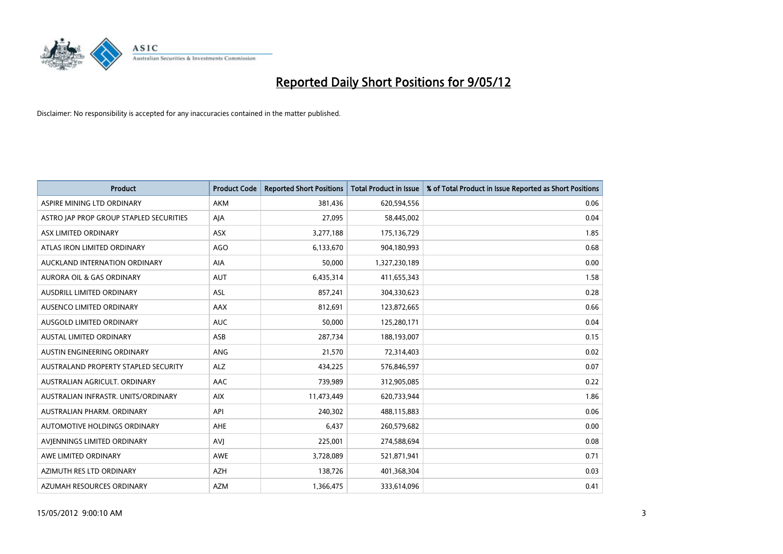

| <b>Product</b>                          | <b>Product Code</b> | <b>Reported Short Positions</b> | <b>Total Product in Issue</b> | % of Total Product in Issue Reported as Short Positions |
|-----------------------------------------|---------------------|---------------------------------|-------------------------------|---------------------------------------------------------|
| ASPIRE MINING LTD ORDINARY              | <b>AKM</b>          | 381,436                         | 620,594,556                   | 0.06                                                    |
| ASTRO JAP PROP GROUP STAPLED SECURITIES | AJA                 | 27,095                          | 58,445,002                    | 0.04                                                    |
| ASX LIMITED ORDINARY                    | <b>ASX</b>          | 3,277,188                       | 175,136,729                   | 1.85                                                    |
| ATLAS IRON LIMITED ORDINARY             | AGO                 | 6,133,670                       | 904,180,993                   | 0.68                                                    |
| AUCKLAND INTERNATION ORDINARY           | AIA                 | 50,000                          | 1,327,230,189                 | 0.00                                                    |
| <b>AURORA OIL &amp; GAS ORDINARY</b>    | <b>AUT</b>          | 6,435,314                       | 411,655,343                   | 1.58                                                    |
| AUSDRILL LIMITED ORDINARY               | ASL                 | 857,241                         | 304,330,623                   | 0.28                                                    |
| AUSENCO LIMITED ORDINARY                | AAX                 | 812,691                         | 123,872,665                   | 0.66                                                    |
| AUSGOLD LIMITED ORDINARY                | <b>AUC</b>          | 50.000                          | 125,280,171                   | 0.04                                                    |
| <b>AUSTAL LIMITED ORDINARY</b>          | ASB                 | 287,734                         | 188,193,007                   | 0.15                                                    |
| AUSTIN ENGINEERING ORDINARY             | ANG                 | 21,570                          | 72,314,403                    | 0.02                                                    |
| AUSTRALAND PROPERTY STAPLED SECURITY    | <b>ALZ</b>          | 434,225                         | 576,846,597                   | 0.07                                                    |
| AUSTRALIAN AGRICULT. ORDINARY           | AAC                 | 739,989                         | 312,905,085                   | 0.22                                                    |
| AUSTRALIAN INFRASTR. UNITS/ORDINARY     | <b>AIX</b>          | 11,473,449                      | 620,733,944                   | 1.86                                                    |
| AUSTRALIAN PHARM, ORDINARY              | API                 | 240,302                         | 488,115,883                   | 0.06                                                    |
| AUTOMOTIVE HOLDINGS ORDINARY            | AHE                 | 6,437                           | 260,579,682                   | 0.00                                                    |
| AVIENNINGS LIMITED ORDINARY             | <b>AVJ</b>          | 225,001                         | 274,588,694                   | 0.08                                                    |
| AWE LIMITED ORDINARY                    | <b>AWE</b>          | 3,728,089                       | 521,871,941                   | 0.71                                                    |
| AZIMUTH RES LTD ORDINARY                | <b>AZH</b>          | 138,726                         | 401,368,304                   | 0.03                                                    |
| AZUMAH RESOURCES ORDINARY               | <b>AZM</b>          | 1,366,475                       | 333,614,096                   | 0.41                                                    |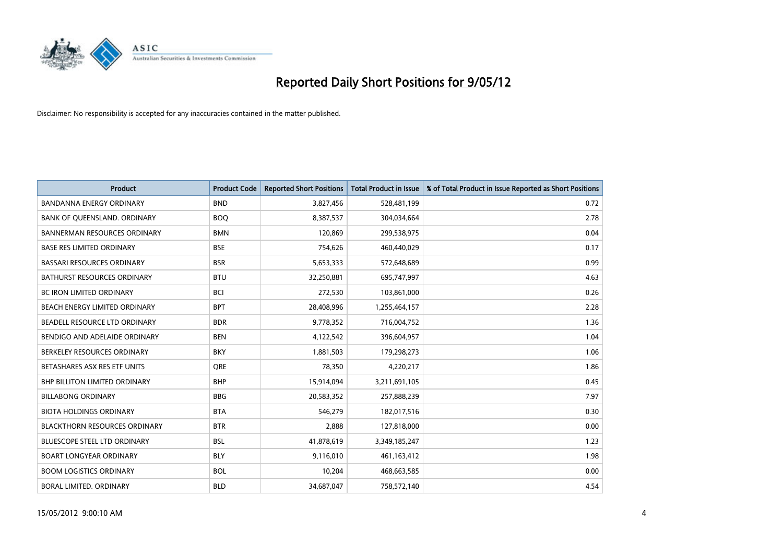

| <b>Product</b>                       | <b>Product Code</b> | <b>Reported Short Positions</b> | <b>Total Product in Issue</b> | % of Total Product in Issue Reported as Short Positions |
|--------------------------------------|---------------------|---------------------------------|-------------------------------|---------------------------------------------------------|
| <b>BANDANNA ENERGY ORDINARY</b>      | <b>BND</b>          | 3,827,456                       | 528,481,199                   | 0.72                                                    |
| BANK OF QUEENSLAND. ORDINARY         | <b>BOO</b>          | 8,387,537                       | 304,034,664                   | 2.78                                                    |
| <b>BANNERMAN RESOURCES ORDINARY</b>  | <b>BMN</b>          | 120,869                         | 299,538,975                   | 0.04                                                    |
| <b>BASE RES LIMITED ORDINARY</b>     | <b>BSE</b>          | 754,626                         | 460,440,029                   | 0.17                                                    |
| <b>BASSARI RESOURCES ORDINARY</b>    | <b>BSR</b>          | 5,653,333                       | 572,648,689                   | 0.99                                                    |
| <b>BATHURST RESOURCES ORDINARY</b>   | <b>BTU</b>          | 32,250,881                      | 695,747,997                   | 4.63                                                    |
| <b>BC IRON LIMITED ORDINARY</b>      | <b>BCI</b>          | 272,530                         | 103,861,000                   | 0.26                                                    |
| BEACH ENERGY LIMITED ORDINARY        | <b>BPT</b>          | 28,408,996                      | 1,255,464,157                 | 2.28                                                    |
| BEADELL RESOURCE LTD ORDINARY        | <b>BDR</b>          | 9,778,352                       | 716,004,752                   | 1.36                                                    |
| BENDIGO AND ADELAIDE ORDINARY        | <b>BEN</b>          | 4,122,542                       | 396,604,957                   | 1.04                                                    |
| BERKELEY RESOURCES ORDINARY          | <b>BKY</b>          | 1,881,503                       | 179,298,273                   | 1.06                                                    |
| BETASHARES ASX RES ETF UNITS         | <b>ORE</b>          | 78,350                          | 4,220,217                     | 1.86                                                    |
| <b>BHP BILLITON LIMITED ORDINARY</b> | <b>BHP</b>          | 15,914,094                      | 3,211,691,105                 | 0.45                                                    |
| <b>BILLABONG ORDINARY</b>            | <b>BBG</b>          | 20,583,352                      | 257,888,239                   | 7.97                                                    |
| <b>BIOTA HOLDINGS ORDINARY</b>       | <b>BTA</b>          | 546,279                         | 182,017,516                   | 0.30                                                    |
| <b>BLACKTHORN RESOURCES ORDINARY</b> | <b>BTR</b>          | 2,888                           | 127,818,000                   | 0.00                                                    |
| BLUESCOPE STEEL LTD ORDINARY         | <b>BSL</b>          | 41,878,619                      | 3,349,185,247                 | 1.23                                                    |
| <b>BOART LONGYEAR ORDINARY</b>       | <b>BLY</b>          | 9,116,010                       | 461,163,412                   | 1.98                                                    |
| <b>BOOM LOGISTICS ORDINARY</b>       | <b>BOL</b>          | 10,204                          | 468,663,585                   | 0.00                                                    |
| BORAL LIMITED. ORDINARY              | <b>BLD</b>          | 34,687,047                      | 758,572,140                   | 4.54                                                    |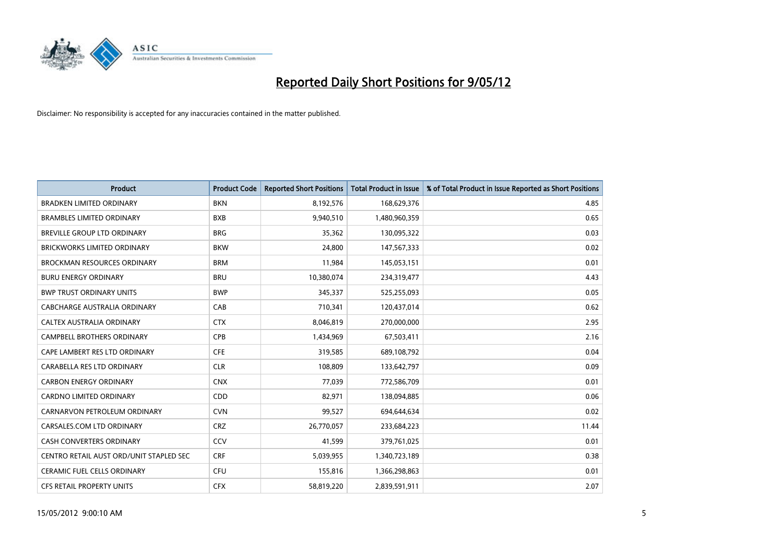

| <b>Product</b>                          | <b>Product Code</b> | <b>Reported Short Positions</b> | <b>Total Product in Issue</b> | % of Total Product in Issue Reported as Short Positions |
|-----------------------------------------|---------------------|---------------------------------|-------------------------------|---------------------------------------------------------|
| <b>BRADKEN LIMITED ORDINARY</b>         | <b>BKN</b>          | 8,192,576                       | 168,629,376                   | 4.85                                                    |
| <b>BRAMBLES LIMITED ORDINARY</b>        | <b>BXB</b>          | 9,940,510                       | 1,480,960,359                 | 0.65                                                    |
| BREVILLE GROUP LTD ORDINARY             | <b>BRG</b>          | 35,362                          | 130,095,322                   | 0.03                                                    |
| <b>BRICKWORKS LIMITED ORDINARY</b>      | <b>BKW</b>          | 24,800                          | 147,567,333                   | 0.02                                                    |
| <b>BROCKMAN RESOURCES ORDINARY</b>      | <b>BRM</b>          | 11,984                          | 145,053,151                   | 0.01                                                    |
| <b>BURU ENERGY ORDINARY</b>             | <b>BRU</b>          | 10,380,074                      | 234,319,477                   | 4.43                                                    |
| <b>BWP TRUST ORDINARY UNITS</b>         | <b>BWP</b>          | 345,337                         | 525,255,093                   | 0.05                                                    |
| <b>CABCHARGE AUSTRALIA ORDINARY</b>     | CAB                 | 710,341                         | 120,437,014                   | 0.62                                                    |
| CALTEX AUSTRALIA ORDINARY               | <b>CTX</b>          | 8,046,819                       | 270,000,000                   | 2.95                                                    |
| <b>CAMPBELL BROTHERS ORDINARY</b>       | <b>CPB</b>          | 1,434,969                       | 67,503,411                    | 2.16                                                    |
| CAPE LAMBERT RES LTD ORDINARY           | <b>CFE</b>          | 319,585                         | 689,108,792                   | 0.04                                                    |
| CARABELLA RES LTD ORDINARY              | <b>CLR</b>          | 108,809                         | 133,642,797                   | 0.09                                                    |
| <b>CARBON ENERGY ORDINARY</b>           | <b>CNX</b>          | 77,039                          | 772,586,709                   | 0.01                                                    |
| <b>CARDNO LIMITED ORDINARY</b>          | CDD                 | 82,971                          | 138,094,885                   | 0.06                                                    |
| CARNARVON PETROLEUM ORDINARY            | <b>CVN</b>          | 99,527                          | 694,644,634                   | 0.02                                                    |
| CARSALES.COM LTD ORDINARY               | <b>CRZ</b>          | 26,770,057                      | 233,684,223                   | 11.44                                                   |
| CASH CONVERTERS ORDINARY                | CCV                 | 41,599                          | 379,761,025                   | 0.01                                                    |
| CENTRO RETAIL AUST ORD/UNIT STAPLED SEC | <b>CRF</b>          | 5,039,955                       | 1,340,723,189                 | 0.38                                                    |
| CERAMIC FUEL CELLS ORDINARY             | <b>CFU</b>          | 155,816                         | 1,366,298,863                 | 0.01                                                    |
| CFS RETAIL PROPERTY UNITS               | <b>CFX</b>          | 58,819,220                      | 2,839,591,911                 | 2.07                                                    |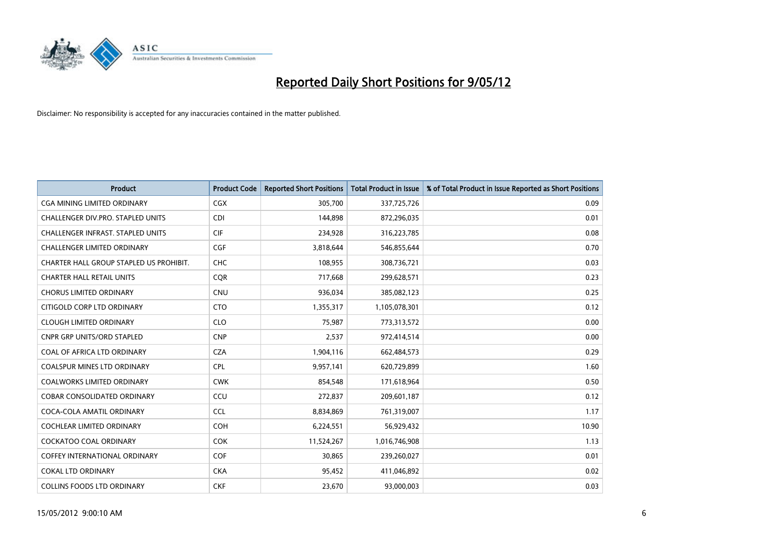

| <b>Product</b>                           | <b>Product Code</b> | <b>Reported Short Positions</b> | <b>Total Product in Issue</b> | % of Total Product in Issue Reported as Short Positions |
|------------------------------------------|---------------------|---------------------------------|-------------------------------|---------------------------------------------------------|
| <b>CGA MINING LIMITED ORDINARY</b>       | <b>CGX</b>          | 305,700                         | 337,725,726                   | 0.09                                                    |
| CHALLENGER DIV.PRO. STAPLED UNITS        | <b>CDI</b>          | 144,898                         | 872,296,035                   | 0.01                                                    |
| <b>CHALLENGER INFRAST, STAPLED UNITS</b> | <b>CIF</b>          | 234,928                         | 316,223,785                   | 0.08                                                    |
| <b>CHALLENGER LIMITED ORDINARY</b>       | <b>CGF</b>          | 3,818,644                       | 546,855,644                   | 0.70                                                    |
| CHARTER HALL GROUP STAPLED US PROHIBIT.  | <b>CHC</b>          | 108,955                         | 308,736,721                   | 0.03                                                    |
| <b>CHARTER HALL RETAIL UNITS</b>         | CQR                 | 717,668                         | 299,628,571                   | 0.23                                                    |
| <b>CHORUS LIMITED ORDINARY</b>           | <b>CNU</b>          | 936,034                         | 385,082,123                   | 0.25                                                    |
| CITIGOLD CORP LTD ORDINARY               | <b>CTO</b>          | 1,355,317                       | 1,105,078,301                 | 0.12                                                    |
| <b>CLOUGH LIMITED ORDINARY</b>           | <b>CLO</b>          | 75,987                          | 773,313,572                   | 0.00                                                    |
| <b>CNPR GRP UNITS/ORD STAPLED</b>        | <b>CNP</b>          | 2,537                           | 972,414,514                   | 0.00                                                    |
| COAL OF AFRICA LTD ORDINARY              | <b>CZA</b>          | 1,904,116                       | 662,484,573                   | 0.29                                                    |
| <b>COALSPUR MINES LTD ORDINARY</b>       | <b>CPL</b>          | 9,957,141                       | 620,729,899                   | 1.60                                                    |
| COALWORKS LIMITED ORDINARY               | <b>CWK</b>          | 854,548                         | 171,618,964                   | 0.50                                                    |
| <b>COBAR CONSOLIDATED ORDINARY</b>       | CCU                 | 272,837                         | 209,601,187                   | 0.12                                                    |
| COCA-COLA AMATIL ORDINARY                | <b>CCL</b>          | 8,834,869                       | 761,319,007                   | 1.17                                                    |
| COCHLEAR LIMITED ORDINARY                | <b>COH</b>          | 6,224,551                       | 56,929,432                    | 10.90                                                   |
| COCKATOO COAL ORDINARY                   | <b>COK</b>          | 11,524,267                      | 1,016,746,908                 | 1.13                                                    |
| <b>COFFEY INTERNATIONAL ORDINARY</b>     | <b>COF</b>          | 30,865                          | 239,260,027                   | 0.01                                                    |
| COKAL LTD ORDINARY                       | <b>CKA</b>          | 95,452                          | 411,046,892                   | 0.02                                                    |
| <b>COLLINS FOODS LTD ORDINARY</b>        | <b>CKF</b>          | 23,670                          | 93,000,003                    | 0.03                                                    |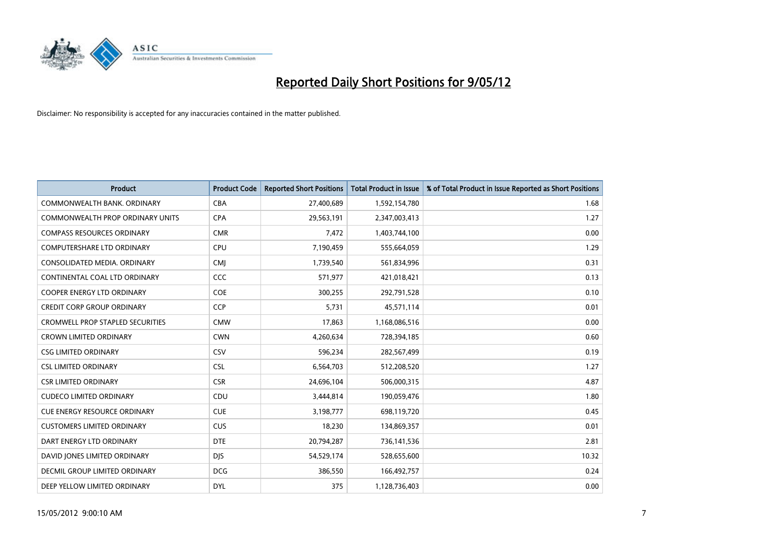

| <b>Product</b>                       | <b>Product Code</b> | <b>Reported Short Positions</b> | <b>Total Product in Issue</b> | % of Total Product in Issue Reported as Short Positions |
|--------------------------------------|---------------------|---------------------------------|-------------------------------|---------------------------------------------------------|
| COMMONWEALTH BANK, ORDINARY          | <b>CBA</b>          | 27,400,689                      | 1,592,154,780                 | 1.68                                                    |
| COMMONWEALTH PROP ORDINARY UNITS     | <b>CPA</b>          | 29,563,191                      | 2,347,003,413                 | 1.27                                                    |
| <b>COMPASS RESOURCES ORDINARY</b>    | <b>CMR</b>          | 7,472                           | 1,403,744,100                 | 0.00                                                    |
| <b>COMPUTERSHARE LTD ORDINARY</b>    | <b>CPU</b>          | 7,190,459                       | 555,664,059                   | 1.29                                                    |
| CONSOLIDATED MEDIA, ORDINARY         | <b>CMI</b>          | 1,739,540                       | 561,834,996                   | 0.31                                                    |
| CONTINENTAL COAL LTD ORDINARY        | CCC                 | 571,977                         | 421,018,421                   | 0.13                                                    |
| <b>COOPER ENERGY LTD ORDINARY</b>    | <b>COE</b>          | 300,255                         | 292,791,528                   | 0.10                                                    |
| <b>CREDIT CORP GROUP ORDINARY</b>    | <b>CCP</b>          | 5,731                           | 45,571,114                    | 0.01                                                    |
| CROMWELL PROP STAPLED SECURITIES     | <b>CMW</b>          | 17,863                          | 1,168,086,516                 | 0.00                                                    |
| <b>CROWN LIMITED ORDINARY</b>        | <b>CWN</b>          | 4,260,634                       | 728,394,185                   | 0.60                                                    |
| <b>CSG LIMITED ORDINARY</b>          | CSV                 | 596,234                         | 282,567,499                   | 0.19                                                    |
| <b>CSL LIMITED ORDINARY</b>          | <b>CSL</b>          | 6,564,703                       | 512,208,520                   | 1.27                                                    |
| <b>CSR LIMITED ORDINARY</b>          | <b>CSR</b>          | 24,696,104                      | 506,000,315                   | 4.87                                                    |
| <b>CUDECO LIMITED ORDINARY</b>       | CDU                 | 3,444,814                       | 190,059,476                   | 1.80                                                    |
| <b>CUE ENERGY RESOURCE ORDINARY</b>  | <b>CUE</b>          | 3,198,777                       | 698,119,720                   | 0.45                                                    |
| <b>CUSTOMERS LIMITED ORDINARY</b>    | <b>CUS</b>          | 18,230                          | 134,869,357                   | 0.01                                                    |
| DART ENERGY LTD ORDINARY             | <b>DTE</b>          | 20,794,287                      | 736,141,536                   | 2.81                                                    |
| DAVID JONES LIMITED ORDINARY         | <b>DJS</b>          | 54,529,174                      | 528,655,600                   | 10.32                                                   |
| <b>DECMIL GROUP LIMITED ORDINARY</b> | <b>DCG</b>          | 386,550                         | 166,492,757                   | 0.24                                                    |
| DEEP YELLOW LIMITED ORDINARY         | <b>DYL</b>          | 375                             | 1,128,736,403                 | 0.00                                                    |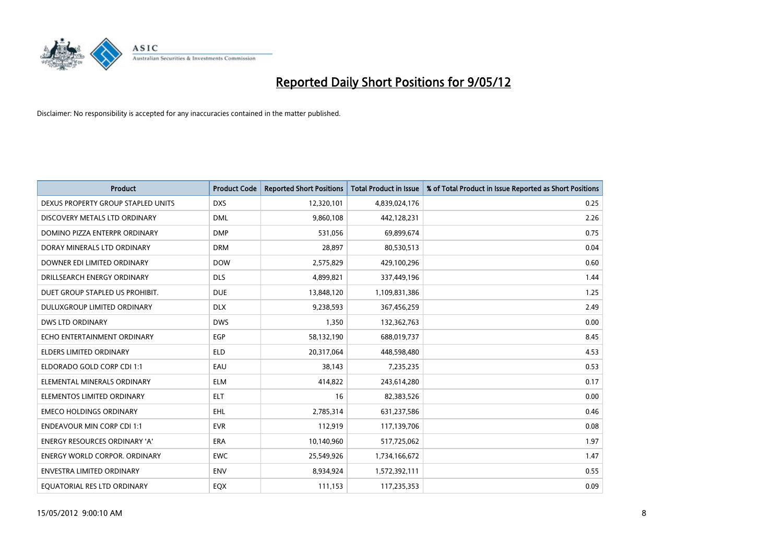

| <b>Product</b>                       | <b>Product Code</b> | <b>Reported Short Positions</b> | <b>Total Product in Issue</b> | % of Total Product in Issue Reported as Short Positions |
|--------------------------------------|---------------------|---------------------------------|-------------------------------|---------------------------------------------------------|
| DEXUS PROPERTY GROUP STAPLED UNITS   | <b>DXS</b>          | 12,320,101                      | 4,839,024,176                 | 0.25                                                    |
| DISCOVERY METALS LTD ORDINARY        | <b>DML</b>          | 9,860,108                       | 442,128,231                   | 2.26                                                    |
| DOMINO PIZZA ENTERPR ORDINARY        | <b>DMP</b>          | 531,056                         | 69,899,674                    | 0.75                                                    |
| DORAY MINERALS LTD ORDINARY          | <b>DRM</b>          | 28,897                          | 80,530,513                    | 0.04                                                    |
| DOWNER EDI LIMITED ORDINARY          | <b>DOW</b>          | 2,575,829                       | 429,100,296                   | 0.60                                                    |
| DRILLSEARCH ENERGY ORDINARY          | <b>DLS</b>          | 4,899,821                       | 337,449,196                   | 1.44                                                    |
| DUET GROUP STAPLED US PROHIBIT.      | <b>DUE</b>          | 13,848,120                      | 1,109,831,386                 | 1.25                                                    |
| DULUXGROUP LIMITED ORDINARY          | <b>DLX</b>          | 9,238,593                       | 367,456,259                   | 2.49                                                    |
| <b>DWS LTD ORDINARY</b>              | <b>DWS</b>          | 1,350                           | 132,362,763                   | 0.00                                                    |
| ECHO ENTERTAINMENT ORDINARY          | EGP                 | 58,132,190                      | 688,019,737                   | 8.45                                                    |
| ELDERS LIMITED ORDINARY              | <b>ELD</b>          | 20,317,064                      | 448,598,480                   | 4.53                                                    |
| ELDORADO GOLD CORP CDI 1:1           | EAU                 | 38,143                          | 7,235,235                     | 0.53                                                    |
| ELEMENTAL MINERALS ORDINARY          | <b>ELM</b>          | 414,822                         | 243,614,280                   | 0.17                                                    |
| ELEMENTOS LIMITED ORDINARY           | <b>ELT</b>          | 16                              | 82,383,526                    | 0.00                                                    |
| <b>EMECO HOLDINGS ORDINARY</b>       | <b>EHL</b>          | 2,785,314                       | 631,237,586                   | 0.46                                                    |
| <b>ENDEAVOUR MIN CORP CDI 1:1</b>    | <b>EVR</b>          | 112,919                         | 117,139,706                   | 0.08                                                    |
| ENERGY RESOURCES ORDINARY 'A'        | <b>ERA</b>          | 10,140,960                      | 517,725,062                   | 1.97                                                    |
| <b>ENERGY WORLD CORPOR, ORDINARY</b> | <b>EWC</b>          | 25,549,926                      | 1,734,166,672                 | 1.47                                                    |
| <b>ENVESTRA LIMITED ORDINARY</b>     | <b>ENV</b>          | 8,934,924                       | 1,572,392,111                 | 0.55                                                    |
| EQUATORIAL RES LTD ORDINARY          | EQX                 | 111,153                         | 117,235,353                   | 0.09                                                    |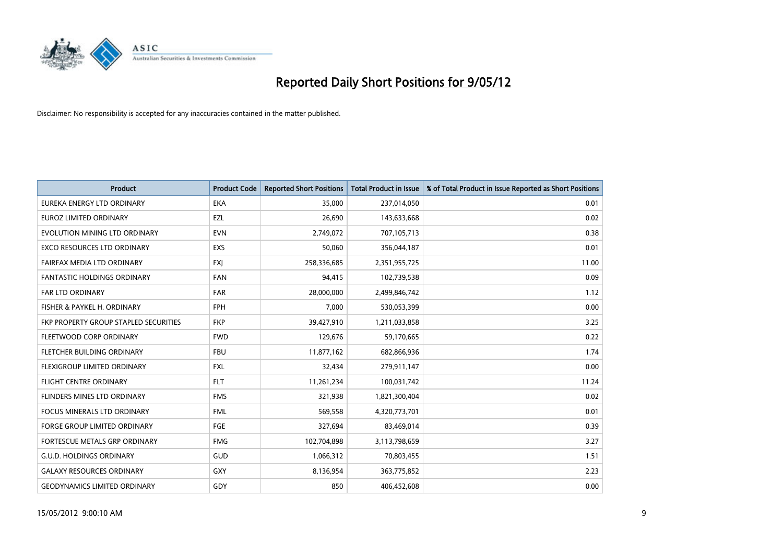

| <b>Product</b>                        | <b>Product Code</b> | <b>Reported Short Positions</b> | <b>Total Product in Issue</b> | % of Total Product in Issue Reported as Short Positions |
|---------------------------------------|---------------------|---------------------------------|-------------------------------|---------------------------------------------------------|
| EUREKA ENERGY LTD ORDINARY            | <b>EKA</b>          | 35,000                          | 237,014,050                   | 0.01                                                    |
| EUROZ LIMITED ORDINARY                | EZL                 | 26,690                          | 143,633,668                   | 0.02                                                    |
| EVOLUTION MINING LTD ORDINARY         | <b>EVN</b>          | 2,749,072                       | 707,105,713                   | 0.38                                                    |
| EXCO RESOURCES LTD ORDINARY           | EXS                 | 50,060                          | 356,044,187                   | 0.01                                                    |
| FAIRFAX MEDIA LTD ORDINARY            | <b>FXI</b>          | 258,336,685                     | 2,351,955,725                 | 11.00                                                   |
| <b>FANTASTIC HOLDINGS ORDINARY</b>    | <b>FAN</b>          | 94,415                          | 102,739,538                   | 0.09                                                    |
| <b>FAR LTD ORDINARY</b>               | <b>FAR</b>          | 28,000,000                      | 2,499,846,742                 | 1.12                                                    |
| FISHER & PAYKEL H. ORDINARY           | <b>FPH</b>          | 7,000                           | 530,053,399                   | 0.00                                                    |
| FKP PROPERTY GROUP STAPLED SECURITIES | <b>FKP</b>          | 39,427,910                      | 1,211,033,858                 | 3.25                                                    |
| FLEETWOOD CORP ORDINARY               | <b>FWD</b>          | 129,676                         | 59,170,665                    | 0.22                                                    |
| FLETCHER BUILDING ORDINARY            | <b>FBU</b>          | 11,877,162                      | 682,866,936                   | 1.74                                                    |
| FLEXIGROUP LIMITED ORDINARY           | FXL                 | 32,434                          | 279,911,147                   | 0.00                                                    |
| <b>FLIGHT CENTRE ORDINARY</b>         | <b>FLT</b>          | 11,261,234                      | 100,031,742                   | 11.24                                                   |
| FLINDERS MINES LTD ORDINARY           | <b>FMS</b>          | 321,938                         | 1,821,300,404                 | 0.02                                                    |
| <b>FOCUS MINERALS LTD ORDINARY</b>    | <b>FML</b>          | 569,558                         | 4,320,773,701                 | 0.01                                                    |
| FORGE GROUP LIMITED ORDINARY          | FGE                 | 327,694                         | 83,469,014                    | 0.39                                                    |
| FORTESCUE METALS GRP ORDINARY         | <b>FMG</b>          | 102,704,898                     | 3,113,798,659                 | 3.27                                                    |
| <b>G.U.D. HOLDINGS ORDINARY</b>       | GUD                 | 1,066,312                       | 70,803,455                    | 1.51                                                    |
| <b>GALAXY RESOURCES ORDINARY</b>      | GXY                 | 8,136,954                       | 363,775,852                   | 2.23                                                    |
| <b>GEODYNAMICS LIMITED ORDINARY</b>   | GDY                 | 850                             | 406,452,608                   | 0.00                                                    |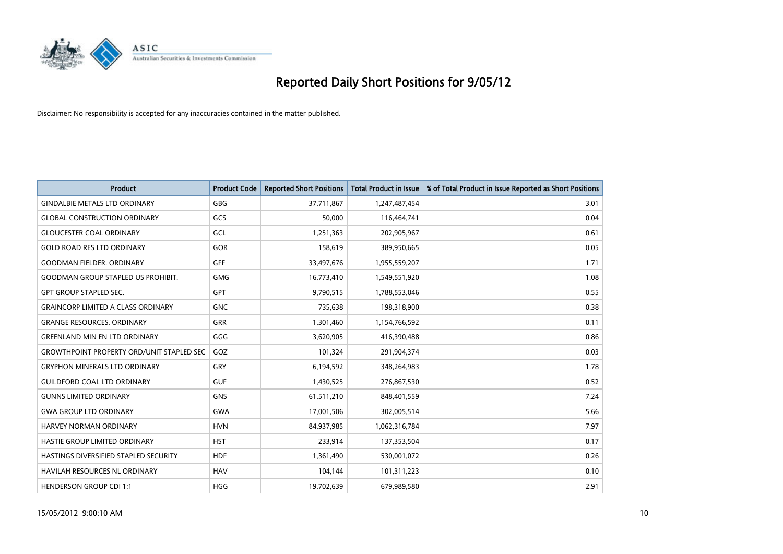

| <b>Product</b>                                   | <b>Product Code</b> | <b>Reported Short Positions</b> | <b>Total Product in Issue</b> | % of Total Product in Issue Reported as Short Positions |
|--------------------------------------------------|---------------------|---------------------------------|-------------------------------|---------------------------------------------------------|
| <b>GINDALBIE METALS LTD ORDINARY</b>             | GBG                 | 37,711,867                      | 1,247,487,454                 | 3.01                                                    |
| <b>GLOBAL CONSTRUCTION ORDINARY</b>              | GCS                 | 50,000                          | 116,464,741                   | 0.04                                                    |
| <b>GLOUCESTER COAL ORDINARY</b>                  | GCL                 | 1,251,363                       | 202,905,967                   | 0.61                                                    |
| <b>GOLD ROAD RES LTD ORDINARY</b>                | <b>GOR</b>          | 158,619                         | 389,950,665                   | 0.05                                                    |
| <b>GOODMAN FIELDER, ORDINARY</b>                 | <b>GFF</b>          | 33,497,676                      | 1,955,559,207                 | 1.71                                                    |
| <b>GOODMAN GROUP STAPLED US PROHIBIT.</b>        | <b>GMG</b>          | 16,773,410                      | 1,549,551,920                 | 1.08                                                    |
| <b>GPT GROUP STAPLED SEC.</b>                    | GPT                 | 9,790,515                       | 1,788,553,046                 | 0.55                                                    |
| <b>GRAINCORP LIMITED A CLASS ORDINARY</b>        | <b>GNC</b>          | 735,638                         | 198,318,900                   | 0.38                                                    |
| <b>GRANGE RESOURCES, ORDINARY</b>                | <b>GRR</b>          | 1,301,460                       | 1,154,766,592                 | 0.11                                                    |
| <b>GREENLAND MIN EN LTD ORDINARY</b>             | GGG                 | 3,620,905                       | 416,390,488                   | 0.86                                                    |
| <b>GROWTHPOINT PROPERTY ORD/UNIT STAPLED SEC</b> | GOZ                 | 101,324                         | 291,904,374                   | 0.03                                                    |
| <b>GRYPHON MINERALS LTD ORDINARY</b>             | GRY                 | 6,194,592                       | 348,264,983                   | 1.78                                                    |
| <b>GUILDFORD COAL LTD ORDINARY</b>               | <b>GUF</b>          | 1,430,525                       | 276,867,530                   | 0.52                                                    |
| <b>GUNNS LIMITED ORDINARY</b>                    | <b>GNS</b>          | 61,511,210                      | 848,401,559                   | 7.24                                                    |
| <b>GWA GROUP LTD ORDINARY</b>                    | <b>GWA</b>          | 17,001,506                      | 302,005,514                   | 5.66                                                    |
| HARVEY NORMAN ORDINARY                           | <b>HVN</b>          | 84,937,985                      | 1,062,316,784                 | 7.97                                                    |
| HASTIE GROUP LIMITED ORDINARY                    | <b>HST</b>          | 233,914                         | 137,353,504                   | 0.17                                                    |
| HASTINGS DIVERSIFIED STAPLED SECURITY            | <b>HDF</b>          | 1,361,490                       | 530,001,072                   | 0.26                                                    |
| <b>HAVILAH RESOURCES NL ORDINARY</b>             | <b>HAV</b>          | 104,144                         | 101,311,223                   | 0.10                                                    |
| <b>HENDERSON GROUP CDI 1:1</b>                   | <b>HGG</b>          | 19,702,639                      | 679,989,580                   | 2.91                                                    |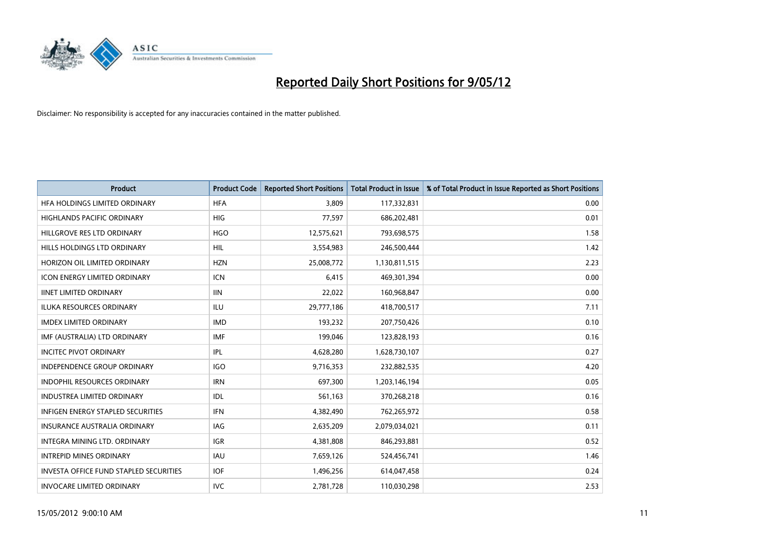

| <b>Product</b>                                | <b>Product Code</b> | <b>Reported Short Positions</b> | <b>Total Product in Issue</b> | % of Total Product in Issue Reported as Short Positions |
|-----------------------------------------------|---------------------|---------------------------------|-------------------------------|---------------------------------------------------------|
| HFA HOLDINGS LIMITED ORDINARY                 | <b>HFA</b>          | 3.809                           | 117,332,831                   | 0.00                                                    |
| HIGHLANDS PACIFIC ORDINARY                    | <b>HIG</b>          | 77,597                          | 686,202,481                   | 0.01                                                    |
| HILLGROVE RES LTD ORDINARY                    | <b>HGO</b>          | 12,575,621                      | 793,698,575                   | 1.58                                                    |
| HILLS HOLDINGS LTD ORDINARY                   | <b>HIL</b>          | 3,554,983                       | 246,500,444                   | 1.42                                                    |
| HORIZON OIL LIMITED ORDINARY                  | <b>HZN</b>          | 25,008,772                      | 1,130,811,515                 | 2.23                                                    |
| <b>ICON ENERGY LIMITED ORDINARY</b>           | <b>ICN</b>          | 6,415                           | 469,301,394                   | 0.00                                                    |
| <b>IINET LIMITED ORDINARY</b>                 | <b>IIN</b>          | 22,022                          | 160,968,847                   | 0.00                                                    |
| ILUKA RESOURCES ORDINARY                      | ILU                 | 29,777,186                      | 418,700,517                   | 7.11                                                    |
| <b>IMDEX LIMITED ORDINARY</b>                 | <b>IMD</b>          | 193,232                         | 207,750,426                   | 0.10                                                    |
| IMF (AUSTRALIA) LTD ORDINARY                  | <b>IMF</b>          | 199,046                         | 123,828,193                   | 0.16                                                    |
| <b>INCITEC PIVOT ORDINARY</b>                 | <b>IPL</b>          | 4,628,280                       | 1,628,730,107                 | 0.27                                                    |
| <b>INDEPENDENCE GROUP ORDINARY</b>            | <b>IGO</b>          | 9,716,353                       | 232,882,535                   | 4.20                                                    |
| INDOPHIL RESOURCES ORDINARY                   | <b>IRN</b>          | 697,300                         | 1,203,146,194                 | 0.05                                                    |
| <b>INDUSTREA LIMITED ORDINARY</b>             | IDL                 | 561,163                         | 370,268,218                   | 0.16                                                    |
| <b>INFIGEN ENERGY STAPLED SECURITIES</b>      | <b>IFN</b>          | 4,382,490                       | 762,265,972                   | 0.58                                                    |
| INSURANCE AUSTRALIA ORDINARY                  | IAG                 | 2,635,209                       | 2,079,034,021                 | 0.11                                                    |
| INTEGRA MINING LTD. ORDINARY                  | <b>IGR</b>          | 4,381,808                       | 846,293,881                   | 0.52                                                    |
| <b>INTREPID MINES ORDINARY</b>                | <b>IAU</b>          | 7,659,126                       | 524,456,741                   | 1.46                                                    |
| <b>INVESTA OFFICE FUND STAPLED SECURITIES</b> | <b>IOF</b>          | 1,496,256                       | 614,047,458                   | 0.24                                                    |
| <b>INVOCARE LIMITED ORDINARY</b>              | <b>IVC</b>          | 2,781,728                       | 110,030,298                   | 2.53                                                    |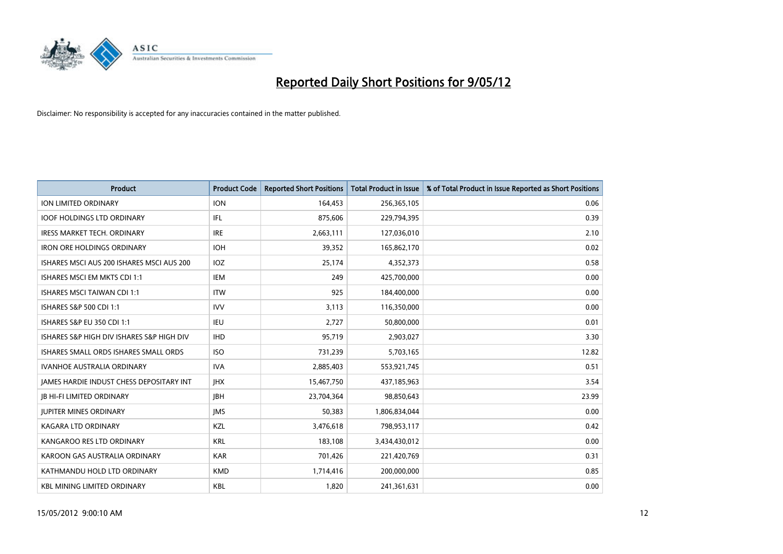

| <b>Product</b>                            | <b>Product Code</b> | <b>Reported Short Positions</b> | <b>Total Product in Issue</b> | % of Total Product in Issue Reported as Short Positions |
|-------------------------------------------|---------------------|---------------------------------|-------------------------------|---------------------------------------------------------|
| <b>ION LIMITED ORDINARY</b>               | <b>ION</b>          | 164,453                         | 256,365,105                   | 0.06                                                    |
| <b>IOOF HOLDINGS LTD ORDINARY</b>         | IFL                 | 875,606                         | 229,794,395                   | 0.39                                                    |
| <b>IRESS MARKET TECH. ORDINARY</b>        | <b>IRE</b>          | 2,663,111                       | 127,036,010                   | 2.10                                                    |
| <b>IRON ORE HOLDINGS ORDINARY</b>         | <b>IOH</b>          | 39,352                          | 165,862,170                   | 0.02                                                    |
| ISHARES MSCI AUS 200 ISHARES MSCI AUS 200 | IOZ                 | 25,174                          | 4,352,373                     | 0.58                                                    |
| ISHARES MSCI EM MKTS CDI 1:1              | <b>IEM</b>          | 249                             | 425,700,000                   | 0.00                                                    |
| <b>ISHARES MSCI TAIWAN CDI 1:1</b>        | <b>ITW</b>          | 925                             | 184,400,000                   | 0.00                                                    |
| ISHARES S&P 500 CDI 1:1                   | <b>IVV</b>          | 3,113                           | 116,350,000                   | 0.00                                                    |
| <b>ISHARES S&amp;P EU 350 CDI 1:1</b>     | <b>IEU</b>          | 2,727                           | 50,800,000                    | 0.01                                                    |
| ISHARES S&P HIGH DIV ISHARES S&P HIGH DIV | <b>IHD</b>          | 95,719                          | 2,903,027                     | 3.30                                                    |
| ISHARES SMALL ORDS ISHARES SMALL ORDS     | <b>ISO</b>          | 731,239                         | 5,703,165                     | 12.82                                                   |
| <b>IVANHOE AUSTRALIA ORDINARY</b>         | <b>IVA</b>          | 2,885,403                       | 553,921,745                   | 0.51                                                    |
| JAMES HARDIE INDUST CHESS DEPOSITARY INT  | <b>IHX</b>          | 15,467,750                      | 437,185,963                   | 3.54                                                    |
| <b>JB HI-FI LIMITED ORDINARY</b>          | <b>JBH</b>          | 23,704,364                      | 98,850,643                    | 23.99                                                   |
| <b>JUPITER MINES ORDINARY</b>             | <b>IMS</b>          | 50,383                          | 1,806,834,044                 | 0.00                                                    |
| KAGARA LTD ORDINARY                       | KZL                 | 3,476,618                       | 798,953,117                   | 0.42                                                    |
| KANGAROO RES LTD ORDINARY                 | <b>KRL</b>          | 183,108                         | 3,434,430,012                 | 0.00                                                    |
| KAROON GAS AUSTRALIA ORDINARY             | <b>KAR</b>          | 701,426                         | 221,420,769                   | 0.31                                                    |
| KATHMANDU HOLD LTD ORDINARY               | <b>KMD</b>          | 1,714,416                       | 200,000,000                   | 0.85                                                    |
| <b>KBL MINING LIMITED ORDINARY</b>        | KBL                 | 1,820                           | 241,361,631                   | 0.00                                                    |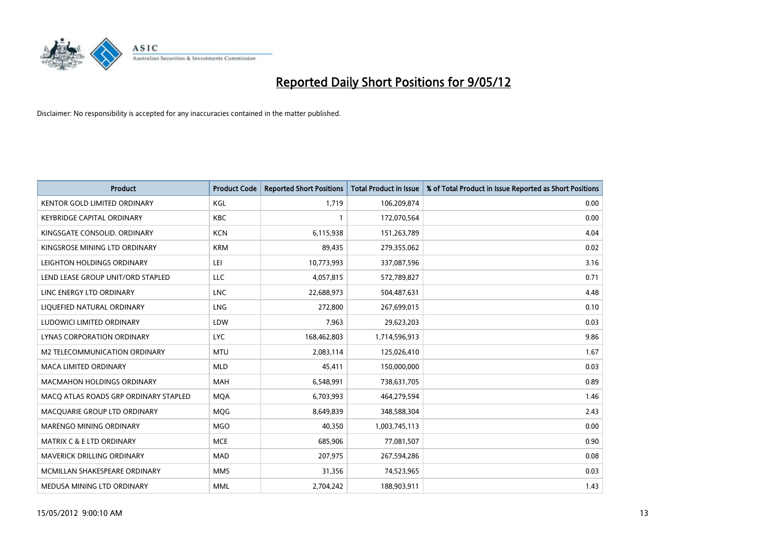

| <b>Product</b>                        | <b>Product Code</b> | <b>Reported Short Positions</b> | <b>Total Product in Issue</b> | % of Total Product in Issue Reported as Short Positions |
|---------------------------------------|---------------------|---------------------------------|-------------------------------|---------------------------------------------------------|
| <b>KENTOR GOLD LIMITED ORDINARY</b>   | KGL                 | 1.719                           | 106,209,874                   | 0.00                                                    |
| <b>KEYBRIDGE CAPITAL ORDINARY</b>     | <b>KBC</b>          |                                 | 172,070,564                   | 0.00                                                    |
| KINGSGATE CONSOLID, ORDINARY          | <b>KCN</b>          | 6,115,938                       | 151,263,789                   | 4.04                                                    |
| KINGSROSE MINING LTD ORDINARY         | <b>KRM</b>          | 89,435                          | 279,355,062                   | 0.02                                                    |
| LEIGHTON HOLDINGS ORDINARY            | LEI                 | 10,773,993                      | 337,087,596                   | 3.16                                                    |
| LEND LEASE GROUP UNIT/ORD STAPLED     | LLC                 | 4,057,815                       | 572,789,827                   | 0.71                                                    |
| LINC ENERGY LTD ORDINARY              | <b>LNC</b>          | 22,688,973                      | 504,487,631                   | 4.48                                                    |
| LIQUEFIED NATURAL ORDINARY            | <b>LNG</b>          | 272,800                         | 267,699,015                   | 0.10                                                    |
| LUDOWICI LIMITED ORDINARY             | LDW                 | 7,963                           | 29,623,203                    | 0.03                                                    |
| <b>LYNAS CORPORATION ORDINARY</b>     | <b>LYC</b>          | 168,462,803                     | 1,714,596,913                 | 9.86                                                    |
| M2 TELECOMMUNICATION ORDINARY         | <b>MTU</b>          | 2,083,114                       | 125,026,410                   | 1.67                                                    |
| <b>MACA LIMITED ORDINARY</b>          | <b>MLD</b>          | 45,411                          | 150,000,000                   | 0.03                                                    |
| <b>MACMAHON HOLDINGS ORDINARY</b>     | <b>MAH</b>          | 6,548,991                       | 738,631,705                   | 0.89                                                    |
| MACO ATLAS ROADS GRP ORDINARY STAPLED | <b>MQA</b>          | 6,703,993                       | 464,279,594                   | 1.46                                                    |
| MACQUARIE GROUP LTD ORDINARY          | <b>MQG</b>          | 8,649,839                       | 348,588,304                   | 2.43                                                    |
| MARENGO MINING ORDINARY               | <b>MGO</b>          | 40,350                          | 1,003,745,113                 | 0.00                                                    |
| MATRIX C & E LTD ORDINARY             | <b>MCE</b>          | 685,906                         | 77,081,507                    | 0.90                                                    |
| <b>MAVERICK DRILLING ORDINARY</b>     | <b>MAD</b>          | 207,975                         | 267,594,286                   | 0.08                                                    |
| MCMILLAN SHAKESPEARE ORDINARY         | <b>MMS</b>          | 31,356                          | 74,523,965                    | 0.03                                                    |
| MEDUSA MINING LTD ORDINARY            | <b>MML</b>          | 2,704,242                       | 188,903,911                   | 1.43                                                    |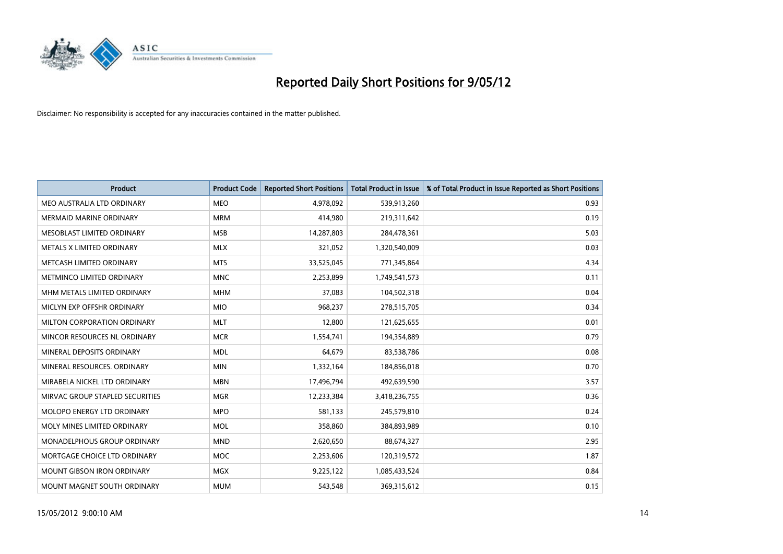

| <b>Product</b>                    | <b>Product Code</b> | <b>Reported Short Positions</b> | <b>Total Product in Issue</b> | % of Total Product in Issue Reported as Short Positions |
|-----------------------------------|---------------------|---------------------------------|-------------------------------|---------------------------------------------------------|
| MEO AUSTRALIA LTD ORDINARY        | <b>MEO</b>          | 4,978,092                       | 539,913,260                   | 0.93                                                    |
| MERMAID MARINE ORDINARY           | <b>MRM</b>          | 414,980                         | 219,311,642                   | 0.19                                                    |
| MESOBLAST LIMITED ORDINARY        | <b>MSB</b>          | 14,287,803                      | 284,478,361                   | 5.03                                                    |
| METALS X LIMITED ORDINARY         | <b>MLX</b>          | 321,052                         | 1,320,540,009                 | 0.03                                                    |
| METCASH LIMITED ORDINARY          | <b>MTS</b>          | 33,525,045                      | 771,345,864                   | 4.34                                                    |
| METMINCO LIMITED ORDINARY         | <b>MNC</b>          | 2,253,899                       | 1,749,541,573                 | 0.11                                                    |
| MHM METALS LIMITED ORDINARY       | <b>MHM</b>          | 37,083                          | 104,502,318                   | 0.04                                                    |
| MICLYN EXP OFFSHR ORDINARY        | <b>MIO</b>          | 968,237                         | 278,515,705                   | 0.34                                                    |
| MILTON CORPORATION ORDINARY       | <b>MLT</b>          | 12,800                          | 121,625,655                   | 0.01                                                    |
| MINCOR RESOURCES NL ORDINARY      | <b>MCR</b>          | 1,554,741                       | 194,354,889                   | 0.79                                                    |
| MINERAL DEPOSITS ORDINARY         | <b>MDL</b>          | 64,679                          | 83,538,786                    | 0.08                                                    |
| MINERAL RESOURCES, ORDINARY       | <b>MIN</b>          | 1,332,164                       | 184,856,018                   | 0.70                                                    |
| MIRABELA NICKEL LTD ORDINARY      | <b>MBN</b>          | 17,496,794                      | 492,639,590                   | 3.57                                                    |
| MIRVAC GROUP STAPLED SECURITIES   | <b>MGR</b>          | 12,233,384                      | 3,418,236,755                 | 0.36                                                    |
| MOLOPO ENERGY LTD ORDINARY        | <b>MPO</b>          | 581,133                         | 245,579,810                   | 0.24                                                    |
| MOLY MINES LIMITED ORDINARY       | <b>MOL</b>          | 358,860                         | 384,893,989                   | 0.10                                                    |
| MONADELPHOUS GROUP ORDINARY       | <b>MND</b>          | 2,620,650                       | 88,674,327                    | 2.95                                                    |
| MORTGAGE CHOICE LTD ORDINARY      | <b>MOC</b>          | 2,253,606                       | 120,319,572                   | 1.87                                                    |
| <b>MOUNT GIBSON IRON ORDINARY</b> | <b>MGX</b>          | 9,225,122                       | 1,085,433,524                 | 0.84                                                    |
| MOUNT MAGNET SOUTH ORDINARY       | <b>MUM</b>          | 543,548                         | 369,315,612                   | 0.15                                                    |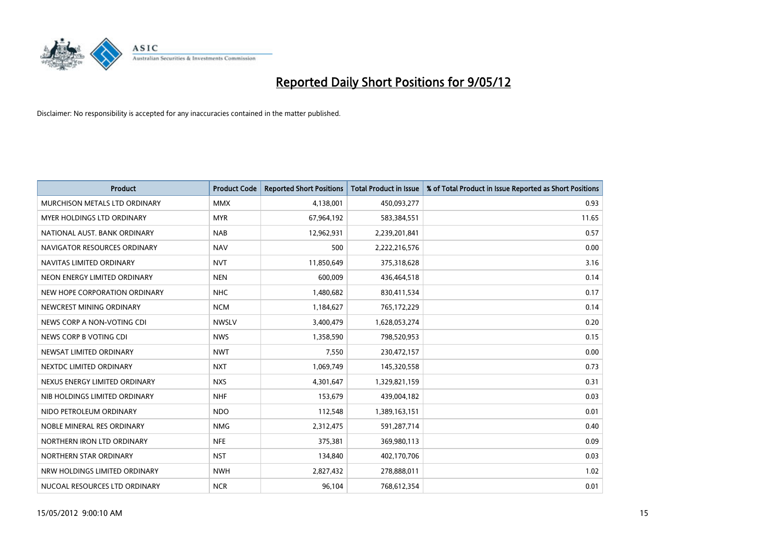

| <b>Product</b>                | <b>Product Code</b> | <b>Reported Short Positions</b> | <b>Total Product in Issue</b> | % of Total Product in Issue Reported as Short Positions |
|-------------------------------|---------------------|---------------------------------|-------------------------------|---------------------------------------------------------|
| MURCHISON METALS LTD ORDINARY | <b>MMX</b>          | 4,138,001                       | 450,093,277                   | 0.93                                                    |
| MYER HOLDINGS LTD ORDINARY    | <b>MYR</b>          | 67,964,192                      | 583,384,551                   | 11.65                                                   |
| NATIONAL AUST, BANK ORDINARY  | <b>NAB</b>          | 12,962,931                      | 2,239,201,841                 | 0.57                                                    |
| NAVIGATOR RESOURCES ORDINARY  | <b>NAV</b>          | 500                             | 2,222,216,576                 | 0.00                                                    |
| NAVITAS LIMITED ORDINARY      | <b>NVT</b>          | 11,850,649                      | 375,318,628                   | 3.16                                                    |
| NEON ENERGY LIMITED ORDINARY  | <b>NEN</b>          | 600,009                         | 436,464,518                   | 0.14                                                    |
| NEW HOPE CORPORATION ORDINARY | <b>NHC</b>          | 1,480,682                       | 830,411,534                   | 0.17                                                    |
| NEWCREST MINING ORDINARY      | <b>NCM</b>          | 1,184,627                       | 765,172,229                   | 0.14                                                    |
| NEWS CORP A NON-VOTING CDI    | <b>NWSLV</b>        | 3,400,479                       | 1,628,053,274                 | 0.20                                                    |
| NEWS CORP B VOTING CDI        | <b>NWS</b>          | 1,358,590                       | 798,520,953                   | 0.15                                                    |
| NEWSAT LIMITED ORDINARY       | <b>NWT</b>          | 7,550                           | 230,472,157                   | 0.00                                                    |
| NEXTDC LIMITED ORDINARY       | <b>NXT</b>          | 1,069,749                       | 145,320,558                   | 0.73                                                    |
| NEXUS ENERGY LIMITED ORDINARY | <b>NXS</b>          | 4,301,647                       | 1,329,821,159                 | 0.31                                                    |
| NIB HOLDINGS LIMITED ORDINARY | <b>NHF</b>          | 153,679                         | 439,004,182                   | 0.03                                                    |
| NIDO PETROLEUM ORDINARY       | <b>NDO</b>          | 112,548                         | 1,389,163,151                 | 0.01                                                    |
| NOBLE MINERAL RES ORDINARY    | <b>NMG</b>          | 2,312,475                       | 591,287,714                   | 0.40                                                    |
| NORTHERN IRON LTD ORDINARY    | <b>NFE</b>          | 375,381                         | 369,980,113                   | 0.09                                                    |
| NORTHERN STAR ORDINARY        | <b>NST</b>          | 134,840                         | 402,170,706                   | 0.03                                                    |
| NRW HOLDINGS LIMITED ORDINARY | <b>NWH</b>          | 2,827,432                       | 278,888,011                   | 1.02                                                    |
| NUCOAL RESOURCES LTD ORDINARY | <b>NCR</b>          | 96,104                          | 768,612,354                   | 0.01                                                    |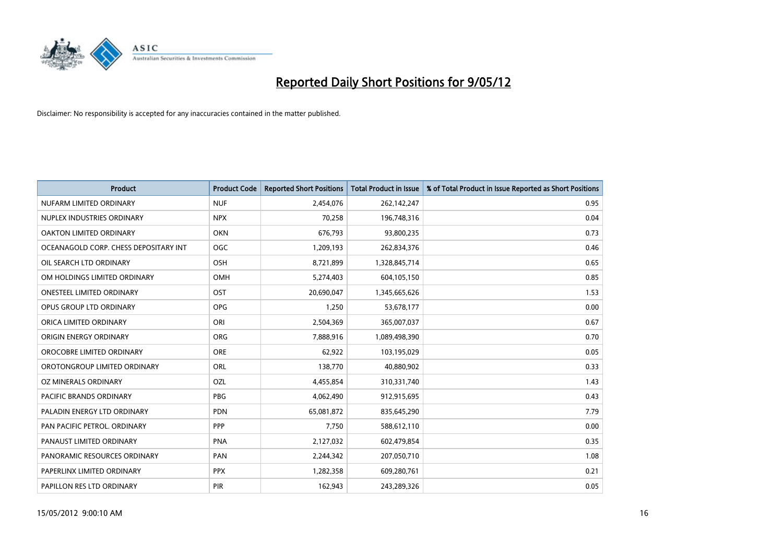

| <b>Product</b>                        | <b>Product Code</b> | <b>Reported Short Positions</b> | <b>Total Product in Issue</b> | % of Total Product in Issue Reported as Short Positions |
|---------------------------------------|---------------------|---------------------------------|-------------------------------|---------------------------------------------------------|
| NUFARM LIMITED ORDINARY               | <b>NUF</b>          | 2,454,076                       | 262,142,247                   | 0.95                                                    |
| NUPLEX INDUSTRIES ORDINARY            | <b>NPX</b>          | 70,258                          | 196,748,316                   | 0.04                                                    |
| OAKTON LIMITED ORDINARY               | <b>OKN</b>          | 676,793                         | 93,800,235                    | 0.73                                                    |
| OCEANAGOLD CORP. CHESS DEPOSITARY INT | <b>OGC</b>          | 1,209,193                       | 262,834,376                   | 0.46                                                    |
| OIL SEARCH LTD ORDINARY               | OSH                 | 8,721,899                       | 1,328,845,714                 | 0.65                                                    |
| OM HOLDINGS LIMITED ORDINARY          | OMH                 | 5,274,403                       | 604,105,150                   | 0.85                                                    |
| <b>ONESTEEL LIMITED ORDINARY</b>      | OST                 | 20,690,047                      | 1,345,665,626                 | 1.53                                                    |
| OPUS GROUP LTD ORDINARY               | <b>OPG</b>          | 1,250                           | 53,678,177                    | 0.00                                                    |
| ORICA LIMITED ORDINARY                | ORI                 | 2,504,369                       | 365,007,037                   | 0.67                                                    |
| ORIGIN ENERGY ORDINARY                | ORG                 | 7,888,916                       | 1,089,498,390                 | 0.70                                                    |
| OROCOBRE LIMITED ORDINARY             | <b>ORE</b>          | 62,922                          | 103,195,029                   | 0.05                                                    |
| OROTONGROUP LIMITED ORDINARY          | <b>ORL</b>          | 138,770                         | 40,880,902                    | 0.33                                                    |
| OZ MINERALS ORDINARY                  | OZL                 | 4,455,854                       | 310,331,740                   | 1.43                                                    |
| <b>PACIFIC BRANDS ORDINARY</b>        | <b>PBG</b>          | 4,062,490                       | 912,915,695                   | 0.43                                                    |
| PALADIN ENERGY LTD ORDINARY           | <b>PDN</b>          | 65,081,872                      | 835,645,290                   | 7.79                                                    |
| PAN PACIFIC PETROL. ORDINARY          | <b>PPP</b>          | 7,750                           | 588,612,110                   | 0.00                                                    |
| PANAUST LIMITED ORDINARY              | <b>PNA</b>          | 2,127,032                       | 602,479,854                   | 0.35                                                    |
| PANORAMIC RESOURCES ORDINARY          | PAN                 | 2,244,342                       | 207,050,710                   | 1.08                                                    |
| PAPERLINX LIMITED ORDINARY            | <b>PPX</b>          | 1,282,358                       | 609,280,761                   | 0.21                                                    |
| PAPILLON RES LTD ORDINARY             | <b>PIR</b>          | 162,943                         | 243,289,326                   | 0.05                                                    |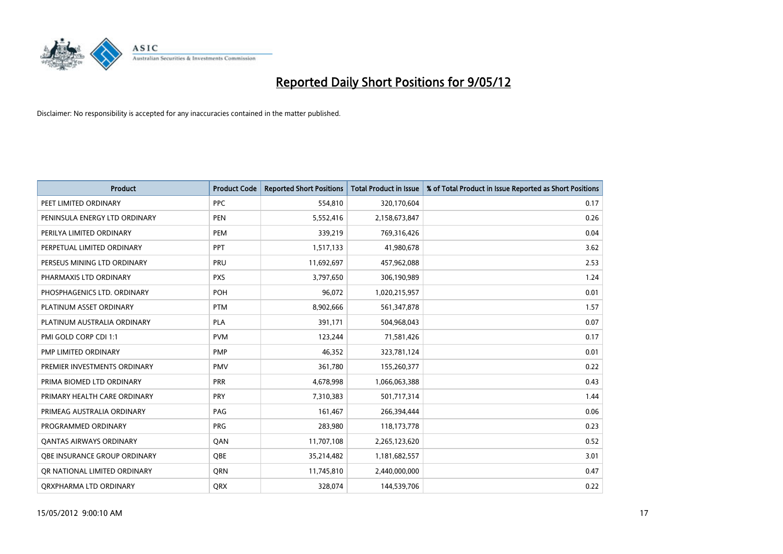

| <b>Product</b>                 | <b>Product Code</b> | <b>Reported Short Positions</b> | <b>Total Product in Issue</b> | % of Total Product in Issue Reported as Short Positions |
|--------------------------------|---------------------|---------------------------------|-------------------------------|---------------------------------------------------------|
| PEET LIMITED ORDINARY          | <b>PPC</b>          | 554,810                         | 320,170,604                   | 0.17                                                    |
| PENINSULA ENERGY LTD ORDINARY  | <b>PEN</b>          | 5,552,416                       | 2,158,673,847                 | 0.26                                                    |
| PERILYA LIMITED ORDINARY       | PEM                 | 339,219                         | 769,316,426                   | 0.04                                                    |
| PERPETUAL LIMITED ORDINARY     | <b>PPT</b>          | 1,517,133                       | 41,980,678                    | 3.62                                                    |
| PERSEUS MINING LTD ORDINARY    | PRU                 | 11,692,697                      | 457,962,088                   | 2.53                                                    |
| PHARMAXIS LTD ORDINARY         | <b>PXS</b>          | 3,797,650                       | 306,190,989                   | 1.24                                                    |
| PHOSPHAGENICS LTD. ORDINARY    | POH                 | 96,072                          | 1,020,215,957                 | 0.01                                                    |
| PLATINUM ASSET ORDINARY        | <b>PTM</b>          | 8,902,666                       | 561,347,878                   | 1.57                                                    |
| PLATINUM AUSTRALIA ORDINARY    | <b>PLA</b>          | 391,171                         | 504,968,043                   | 0.07                                                    |
| PMI GOLD CORP CDI 1:1          | <b>PVM</b>          | 123,244                         | 71,581,426                    | 0.17                                                    |
| PMP LIMITED ORDINARY           | <b>PMP</b>          | 46,352                          | 323,781,124                   | 0.01                                                    |
| PREMIER INVESTMENTS ORDINARY   | PMV                 | 361,780                         | 155,260,377                   | 0.22                                                    |
| PRIMA BIOMED LTD ORDINARY      | <b>PRR</b>          | 4,678,998                       | 1,066,063,388                 | 0.43                                                    |
| PRIMARY HEALTH CARE ORDINARY   | <b>PRY</b>          | 7,310,383                       | 501,717,314                   | 1.44                                                    |
| PRIMEAG AUSTRALIA ORDINARY     | PAG                 | 161,467                         | 266,394,444                   | 0.06                                                    |
| PROGRAMMED ORDINARY            | <b>PRG</b>          | 283,980                         | 118,173,778                   | 0.23                                                    |
| <b>QANTAS AIRWAYS ORDINARY</b> | QAN                 | 11,707,108                      | 2,265,123,620                 | 0.52                                                    |
| OBE INSURANCE GROUP ORDINARY   | <b>OBE</b>          | 35,214,482                      | 1,181,682,557                 | 3.01                                                    |
| OR NATIONAL LIMITED ORDINARY   | <b>ORN</b>          | 11,745,810                      | 2,440,000,000                 | 0.47                                                    |
| ORXPHARMA LTD ORDINARY         | QRX                 | 328,074                         | 144,539,706                   | 0.22                                                    |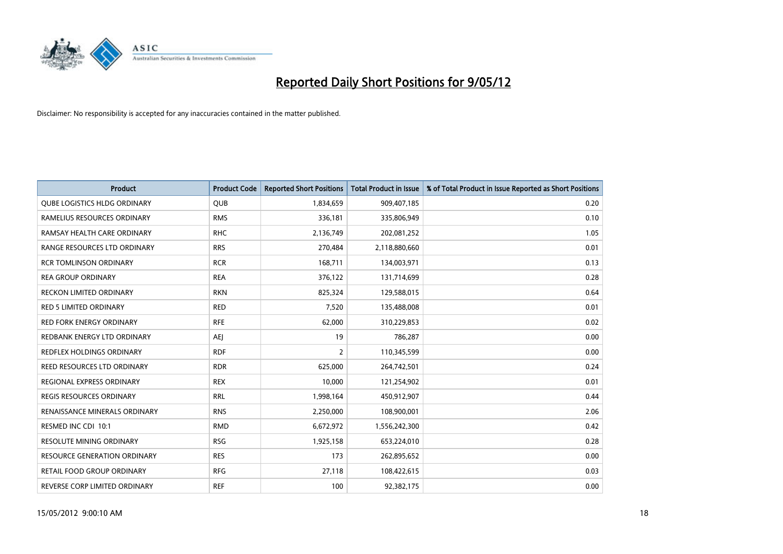

| <b>Product</b>                      | <b>Product Code</b> | <b>Reported Short Positions</b> | <b>Total Product in Issue</b> | % of Total Product in Issue Reported as Short Positions |
|-------------------------------------|---------------------|---------------------------------|-------------------------------|---------------------------------------------------------|
| QUBE LOGISTICS HLDG ORDINARY        | <b>QUB</b>          | 1,834,659                       | 909,407,185                   | 0.20                                                    |
| RAMELIUS RESOURCES ORDINARY         | <b>RMS</b>          | 336,181                         | 335,806,949                   | 0.10                                                    |
| RAMSAY HEALTH CARE ORDINARY         | <b>RHC</b>          | 2,136,749                       | 202,081,252                   | 1.05                                                    |
| RANGE RESOURCES LTD ORDINARY        | <b>RRS</b>          | 270,484                         | 2,118,880,660                 | 0.01                                                    |
| <b>RCR TOMLINSON ORDINARY</b>       | <b>RCR</b>          | 168,711                         | 134,003,971                   | 0.13                                                    |
| <b>REA GROUP ORDINARY</b>           | <b>REA</b>          | 376,122                         | 131,714,699                   | 0.28                                                    |
| <b>RECKON LIMITED ORDINARY</b>      | <b>RKN</b>          | 825,324                         | 129,588,015                   | 0.64                                                    |
| RED 5 LIMITED ORDINARY              | <b>RED</b>          | 7,520                           | 135,488,008                   | 0.01                                                    |
| <b>RED FORK ENERGY ORDINARY</b>     | <b>RFE</b>          | 62,000                          | 310,229,853                   | 0.02                                                    |
| REDBANK ENERGY LTD ORDINARY         | AEJ                 | 19                              | 786,287                       | 0.00                                                    |
| REDFLEX HOLDINGS ORDINARY           | <b>RDF</b>          | 2                               | 110,345,599                   | 0.00                                                    |
| REED RESOURCES LTD ORDINARY         | <b>RDR</b>          | 625,000                         | 264,742,501                   | 0.24                                                    |
| REGIONAL EXPRESS ORDINARY           | <b>REX</b>          | 10,000                          | 121,254,902                   | 0.01                                                    |
| <b>REGIS RESOURCES ORDINARY</b>     | <b>RRL</b>          | 1,998,164                       | 450,912,907                   | 0.44                                                    |
| RENAISSANCE MINERALS ORDINARY       | <b>RNS</b>          | 2,250,000                       | 108,900,001                   | 2.06                                                    |
| RESMED INC CDI 10:1                 | <b>RMD</b>          | 6,672,972                       | 1,556,242,300                 | 0.42                                                    |
| RESOLUTE MINING ORDINARY            | <b>RSG</b>          | 1,925,158                       | 653,224,010                   | 0.28                                                    |
| <b>RESOURCE GENERATION ORDINARY</b> | <b>RES</b>          | 173                             | 262,895,652                   | 0.00                                                    |
| <b>RETAIL FOOD GROUP ORDINARY</b>   | <b>RFG</b>          | 27,118                          | 108,422,615                   | 0.03                                                    |
| REVERSE CORP LIMITED ORDINARY       | <b>REF</b>          | 100                             | 92,382,175                    | 0.00                                                    |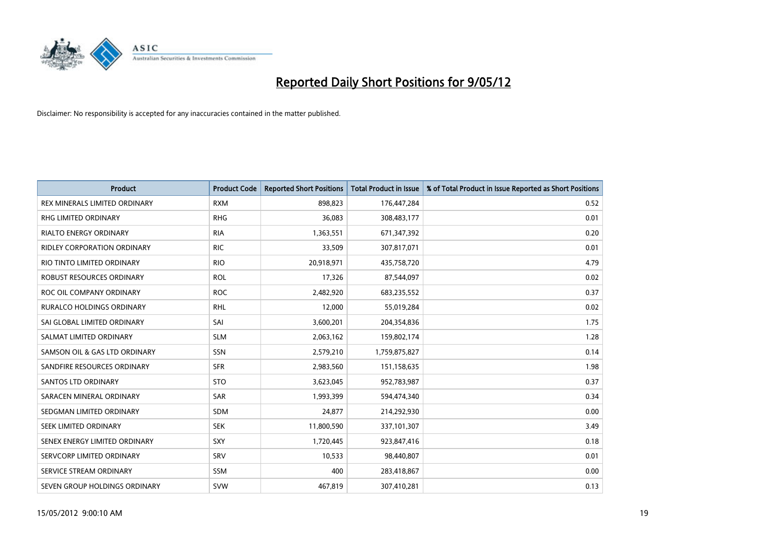

| <b>Product</b>                   | <b>Product Code</b> | <b>Reported Short Positions</b> | <b>Total Product in Issue</b> | % of Total Product in Issue Reported as Short Positions |
|----------------------------------|---------------------|---------------------------------|-------------------------------|---------------------------------------------------------|
| REX MINERALS LIMITED ORDINARY    | <b>RXM</b>          | 898,823                         | 176,447,284                   | 0.52                                                    |
| <b>RHG LIMITED ORDINARY</b>      | <b>RHG</b>          | 36,083                          | 308,483,177                   | 0.01                                                    |
| <b>RIALTO ENERGY ORDINARY</b>    | <b>RIA</b>          | 1,363,551                       | 671,347,392                   | 0.20                                                    |
| RIDLEY CORPORATION ORDINARY      | <b>RIC</b>          | 33,509                          | 307,817,071                   | 0.01                                                    |
| RIO TINTO LIMITED ORDINARY       | <b>RIO</b>          | 20,918,971                      | 435,758,720                   | 4.79                                                    |
| ROBUST RESOURCES ORDINARY        | <b>ROL</b>          | 17,326                          | 87,544,097                    | 0.02                                                    |
| ROC OIL COMPANY ORDINARY         | <b>ROC</b>          | 2,482,920                       | 683,235,552                   | 0.37                                                    |
| <b>RURALCO HOLDINGS ORDINARY</b> | <b>RHL</b>          | 12,000                          | 55,019,284                    | 0.02                                                    |
| SAI GLOBAL LIMITED ORDINARY      | SAI                 | 3,600,201                       | 204,354,836                   | 1.75                                                    |
| SALMAT LIMITED ORDINARY          | <b>SLM</b>          | 2,063,162                       | 159,802,174                   | 1.28                                                    |
| SAMSON OIL & GAS LTD ORDINARY    | SSN                 | 2,579,210                       | 1,759,875,827                 | 0.14                                                    |
| SANDFIRE RESOURCES ORDINARY      | <b>SFR</b>          | 2,983,560                       | 151,158,635                   | 1.98                                                    |
| SANTOS LTD ORDINARY              | <b>STO</b>          | 3,623,045                       | 952,783,987                   | 0.37                                                    |
| SARACEN MINERAL ORDINARY         | SAR                 | 1,993,399                       | 594,474,340                   | 0.34                                                    |
| SEDGMAN LIMITED ORDINARY         | <b>SDM</b>          | 24,877                          | 214,292,930                   | 0.00                                                    |
| SEEK LIMITED ORDINARY            | <b>SEK</b>          | 11,800,590                      | 337,101,307                   | 3.49                                                    |
| SENEX ENERGY LIMITED ORDINARY    | SXY                 | 1,720,445                       | 923,847,416                   | 0.18                                                    |
| SERVCORP LIMITED ORDINARY        | SRV                 | 10,533                          | 98,440,807                    | 0.01                                                    |
| SERVICE STREAM ORDINARY          | <b>SSM</b>          | 400                             | 283,418,867                   | 0.00                                                    |
| SEVEN GROUP HOLDINGS ORDINARY    | <b>SVW</b>          | 467,819                         | 307,410,281                   | 0.13                                                    |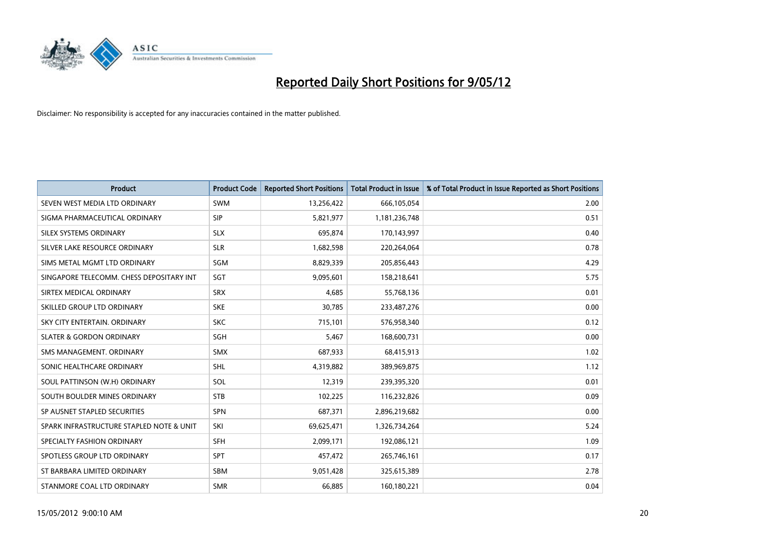

| <b>Product</b>                           | <b>Product Code</b> | <b>Reported Short Positions</b> | <b>Total Product in Issue</b> | % of Total Product in Issue Reported as Short Positions |
|------------------------------------------|---------------------|---------------------------------|-------------------------------|---------------------------------------------------------|
| SEVEN WEST MEDIA LTD ORDINARY            | <b>SWM</b>          | 13,256,422                      | 666,105,054                   | 2.00                                                    |
| SIGMA PHARMACEUTICAL ORDINARY            | <b>SIP</b>          | 5,821,977                       | 1,181,236,748                 | 0.51                                                    |
| SILEX SYSTEMS ORDINARY                   | <b>SLX</b>          | 695,874                         | 170,143,997                   | 0.40                                                    |
| SILVER LAKE RESOURCE ORDINARY            | <b>SLR</b>          | 1,682,598                       | 220,264,064                   | 0.78                                                    |
| SIMS METAL MGMT LTD ORDINARY             | SGM                 | 8,829,339                       | 205,856,443                   | 4.29                                                    |
| SINGAPORE TELECOMM. CHESS DEPOSITARY INT | SGT                 | 9,095,601                       | 158,218,641                   | 5.75                                                    |
| SIRTEX MEDICAL ORDINARY                  | <b>SRX</b>          | 4,685                           | 55,768,136                    | 0.01                                                    |
| SKILLED GROUP LTD ORDINARY               | <b>SKE</b>          | 30,785                          | 233,487,276                   | 0.00                                                    |
| SKY CITY ENTERTAIN, ORDINARY             | <b>SKC</b>          | 715,101                         | 576,958,340                   | 0.12                                                    |
| <b>SLATER &amp; GORDON ORDINARY</b>      | SGH                 | 5,467                           | 168,600,731                   | 0.00                                                    |
| SMS MANAGEMENT. ORDINARY                 | <b>SMX</b>          | 687,933                         | 68,415,913                    | 1.02                                                    |
| SONIC HEALTHCARE ORDINARY                | SHL                 | 4,319,882                       | 389,969,875                   | 1.12                                                    |
| SOUL PATTINSON (W.H) ORDINARY            | SOL                 | 12,319                          | 239,395,320                   | 0.01                                                    |
| SOUTH BOULDER MINES ORDINARY             | <b>STB</b>          | 102,225                         | 116,232,826                   | 0.09                                                    |
| SP AUSNET STAPLED SECURITIES             | <b>SPN</b>          | 687,371                         | 2,896,219,682                 | 0.00                                                    |
| SPARK INFRASTRUCTURE STAPLED NOTE & UNIT | SKI                 | 69,625,471                      | 1,326,734,264                 | 5.24                                                    |
| SPECIALTY FASHION ORDINARY               | SFH                 | 2,099,171                       | 192,086,121                   | 1.09                                                    |
| SPOTLESS GROUP LTD ORDINARY              | <b>SPT</b>          | 457,472                         | 265,746,161                   | 0.17                                                    |
| ST BARBARA LIMITED ORDINARY              | <b>SBM</b>          | 9,051,428                       | 325,615,389                   | 2.78                                                    |
| STANMORE COAL LTD ORDINARY               | <b>SMR</b>          | 66,885                          | 160,180,221                   | 0.04                                                    |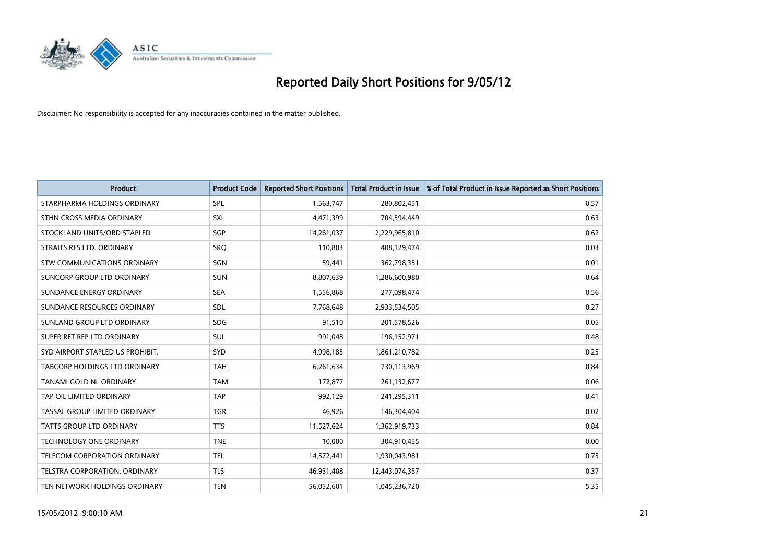

| <b>Product</b>                   | <b>Product Code</b> | <b>Reported Short Positions</b> | <b>Total Product in Issue</b> | % of Total Product in Issue Reported as Short Positions |
|----------------------------------|---------------------|---------------------------------|-------------------------------|---------------------------------------------------------|
| STARPHARMA HOLDINGS ORDINARY     | <b>SPL</b>          | 1,563,747                       | 280,802,451                   | 0.57                                                    |
| STHN CROSS MEDIA ORDINARY        | <b>SXL</b>          | 4,471,399                       | 704,594,449                   | 0.63                                                    |
| STOCKLAND UNITS/ORD STAPLED      | SGP                 | 14,261,037                      | 2,229,965,810                 | 0.62                                                    |
| STRAITS RES LTD. ORDINARY        | <b>SRO</b>          | 110,803                         | 408,129,474                   | 0.03                                                    |
| STW COMMUNICATIONS ORDINARY      | SGN                 | 59,441                          | 362,798,351                   | 0.01                                                    |
| SUNCORP GROUP LTD ORDINARY       | <b>SUN</b>          | 8,807,639                       | 1,286,600,980                 | 0.64                                                    |
| SUNDANCE ENERGY ORDINARY         | <b>SEA</b>          | 1,556,868                       | 277,098,474                   | 0.56                                                    |
| SUNDANCE RESOURCES ORDINARY      | SDL                 | 7,768,648                       | 2,933,534,505                 | 0.27                                                    |
| SUNLAND GROUP LTD ORDINARY       | <b>SDG</b>          | 91,510                          | 201,578,526                   | 0.05                                                    |
| SUPER RET REP LTD ORDINARY       | <b>SUL</b>          | 991,048                         | 196,152,971                   | 0.48                                                    |
| SYD AIRPORT STAPLED US PROHIBIT. | <b>SYD</b>          | 4,998,185                       | 1,861,210,782                 | 0.25                                                    |
| TABCORP HOLDINGS LTD ORDINARY    | <b>TAH</b>          | 6,261,634                       | 730,113,969                   | 0.84                                                    |
| TANAMI GOLD NL ORDINARY          | <b>TAM</b>          | 172,877                         | 261,132,677                   | 0.06                                                    |
| TAP OIL LIMITED ORDINARY         | <b>TAP</b>          | 992,129                         | 241,295,311                   | 0.41                                                    |
| TASSAL GROUP LIMITED ORDINARY    | <b>TGR</b>          | 46,926                          | 146,304,404                   | 0.02                                                    |
| TATTS GROUP LTD ORDINARY         | <b>TTS</b>          | 11,527,624                      | 1,362,919,733                 | 0.84                                                    |
| TECHNOLOGY ONE ORDINARY          | <b>TNE</b>          | 10,000                          | 304,910,455                   | 0.00                                                    |
| TELECOM CORPORATION ORDINARY     | <b>TEL</b>          | 14,572,441                      | 1,930,043,981                 | 0.75                                                    |
| TELSTRA CORPORATION, ORDINARY    | <b>TLS</b>          | 46,931,408                      | 12,443,074,357                | 0.37                                                    |
| TEN NETWORK HOLDINGS ORDINARY    | <b>TEN</b>          | 56,052,601                      | 1,045,236,720                 | 5.35                                                    |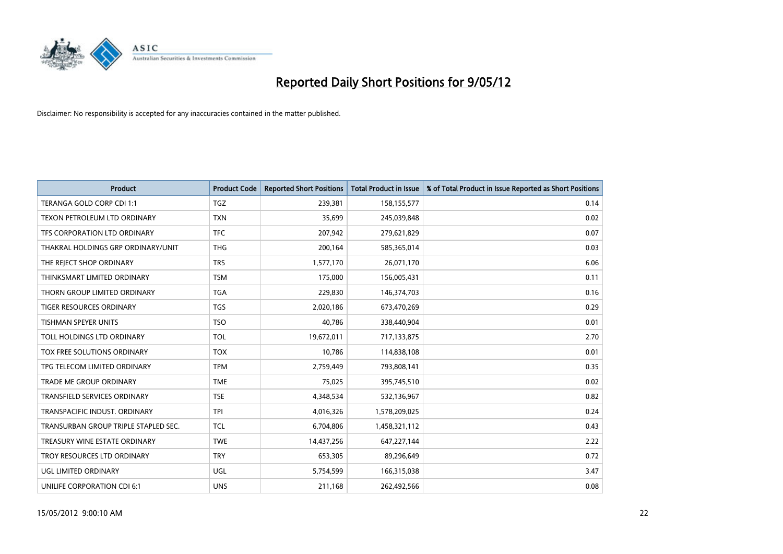

| <b>Product</b>                       | <b>Product Code</b> | <b>Reported Short Positions</b> | <b>Total Product in Issue</b> | % of Total Product in Issue Reported as Short Positions |
|--------------------------------------|---------------------|---------------------------------|-------------------------------|---------------------------------------------------------|
| TERANGA GOLD CORP CDI 1:1            | <b>TGZ</b>          | 239,381                         | 158,155,577                   | 0.14                                                    |
| TEXON PETROLEUM LTD ORDINARY         | <b>TXN</b>          | 35,699                          | 245,039,848                   | 0.02                                                    |
| TFS CORPORATION LTD ORDINARY         | <b>TFC</b>          | 207,942                         | 279,621,829                   | 0.07                                                    |
| THAKRAL HOLDINGS GRP ORDINARY/UNIT   | <b>THG</b>          | 200,164                         | 585,365,014                   | 0.03                                                    |
| THE REJECT SHOP ORDINARY             | <b>TRS</b>          | 1,577,170                       | 26,071,170                    | 6.06                                                    |
| THINKSMART LIMITED ORDINARY          | <b>TSM</b>          | 175,000                         | 156,005,431                   | 0.11                                                    |
| THORN GROUP LIMITED ORDINARY         | <b>TGA</b>          | 229,830                         | 146,374,703                   | 0.16                                                    |
| TIGER RESOURCES ORDINARY             | <b>TGS</b>          | 2,020,186                       | 673,470,269                   | 0.29                                                    |
| <b>TISHMAN SPEYER UNITS</b>          | <b>TSO</b>          | 40,786                          | 338,440,904                   | 0.01                                                    |
| TOLL HOLDINGS LTD ORDINARY           | <b>TOL</b>          | 19,672,011                      | 717,133,875                   | 2.70                                                    |
| TOX FREE SOLUTIONS ORDINARY          | <b>TOX</b>          | 10,786                          | 114,838,108                   | 0.01                                                    |
| TPG TELECOM LIMITED ORDINARY         | <b>TPM</b>          | 2,759,449                       | 793,808,141                   | 0.35                                                    |
| TRADE ME GROUP ORDINARY              | <b>TME</b>          | 75,025                          | 395,745,510                   | 0.02                                                    |
| <b>TRANSFIELD SERVICES ORDINARY</b>  | <b>TSE</b>          | 4,348,534                       | 532,136,967                   | 0.82                                                    |
| TRANSPACIFIC INDUST, ORDINARY        | <b>TPI</b>          | 4,016,326                       | 1,578,209,025                 | 0.24                                                    |
| TRANSURBAN GROUP TRIPLE STAPLED SEC. | <b>TCL</b>          | 6,704,806                       | 1,458,321,112                 | 0.43                                                    |
| TREASURY WINE ESTATE ORDINARY        | <b>TWE</b>          | 14,437,256                      | 647,227,144                   | 2.22                                                    |
| TROY RESOURCES LTD ORDINARY          | <b>TRY</b>          | 653,305                         | 89,296,649                    | 0.72                                                    |
| UGL LIMITED ORDINARY                 | UGL                 | 5,754,599                       | 166,315,038                   | 3.47                                                    |
| UNILIFE CORPORATION CDI 6:1          | <b>UNS</b>          | 211,168                         | 262,492,566                   | 0.08                                                    |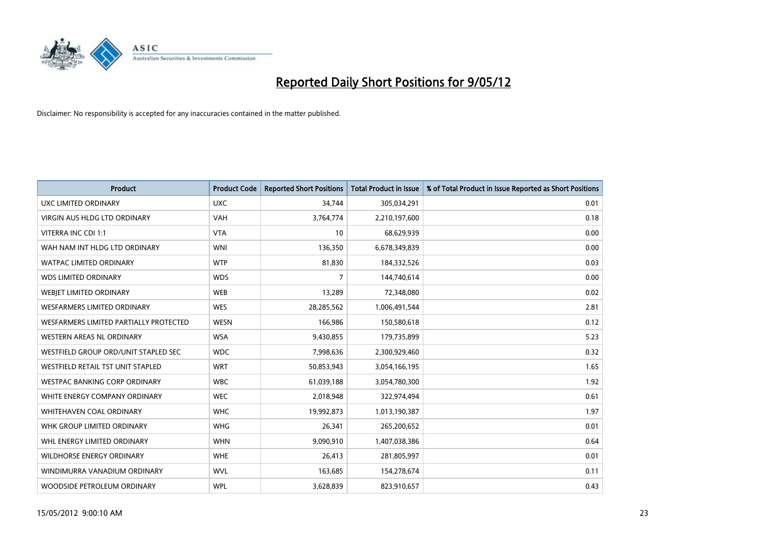

| <b>Product</b>                         | <b>Product Code</b> | <b>Reported Short Positions</b> | <b>Total Product in Issue</b> | % of Total Product in Issue Reported as Short Positions |
|----------------------------------------|---------------------|---------------------------------|-------------------------------|---------------------------------------------------------|
| UXC LIMITED ORDINARY                   | <b>UXC</b>          | 34,744                          | 305,034,291                   | 0.01                                                    |
| VIRGIN AUS HLDG LTD ORDINARY           | <b>VAH</b>          | 3,764,774                       | 2,210,197,600                 | 0.18                                                    |
| VITERRA INC CDI 1:1                    | <b>VTA</b>          | 10                              | 68,629,939                    | 0.00                                                    |
| WAH NAM INT HLDG LTD ORDINARY          | <b>WNI</b>          | 136,350                         | 6,678,349,839                 | 0.00                                                    |
| <b>WATPAC LIMITED ORDINARY</b>         | <b>WTP</b>          | 81,830                          | 184,332,526                   | 0.03                                                    |
| <b>WDS LIMITED ORDINARY</b>            | <b>WDS</b>          | $\overline{7}$                  | 144,740,614                   | 0.00                                                    |
| WEBIET LIMITED ORDINARY                | <b>WEB</b>          | 13,289                          | 72,348,080                    | 0.02                                                    |
| <b>WESFARMERS LIMITED ORDINARY</b>     | <b>WES</b>          | 28,285,562                      | 1,006,491,544                 | 2.81                                                    |
| WESFARMERS LIMITED PARTIALLY PROTECTED | <b>WESN</b>         | 166,986                         | 150,580,618                   | 0.12                                                    |
| <b>WESTERN AREAS NL ORDINARY</b>       | <b>WSA</b>          | 9,430,855                       | 179,735,899                   | 5.23                                                    |
| WESTFIELD GROUP ORD/UNIT STAPLED SEC   | <b>WDC</b>          | 7,998,636                       | 2,300,929,460                 | 0.32                                                    |
| WESTFIELD RETAIL TST UNIT STAPLED      | <b>WRT</b>          | 50,853,943                      | 3,054,166,195                 | 1.65                                                    |
| <b>WESTPAC BANKING CORP ORDINARY</b>   | <b>WBC</b>          | 61,039,188                      | 3,054,780,300                 | 1.92                                                    |
| WHITE ENERGY COMPANY ORDINARY          | <b>WEC</b>          | 2,018,948                       | 322,974,494                   | 0.61                                                    |
| WHITEHAVEN COAL ORDINARY               | <b>WHC</b>          | 19,992,873                      | 1,013,190,387                 | 1.97                                                    |
| WHK GROUP LIMITED ORDINARY             | <b>WHG</b>          | 26,341                          | 265,200,652                   | 0.01                                                    |
| WHL ENERGY LIMITED ORDINARY            | <b>WHN</b>          | 9,090,910                       | 1,407,038,386                 | 0.64                                                    |
| <b>WILDHORSE ENERGY ORDINARY</b>       | <b>WHE</b>          | 26,413                          | 281,805,997                   | 0.01                                                    |
| WINDIMURRA VANADIUM ORDINARY           | <b>WVL</b>          | 163,685                         | 154,278,674                   | 0.11                                                    |
| WOODSIDE PETROLEUM ORDINARY            | <b>WPL</b>          | 3,628,839                       | 823,910,657                   | 0.43                                                    |